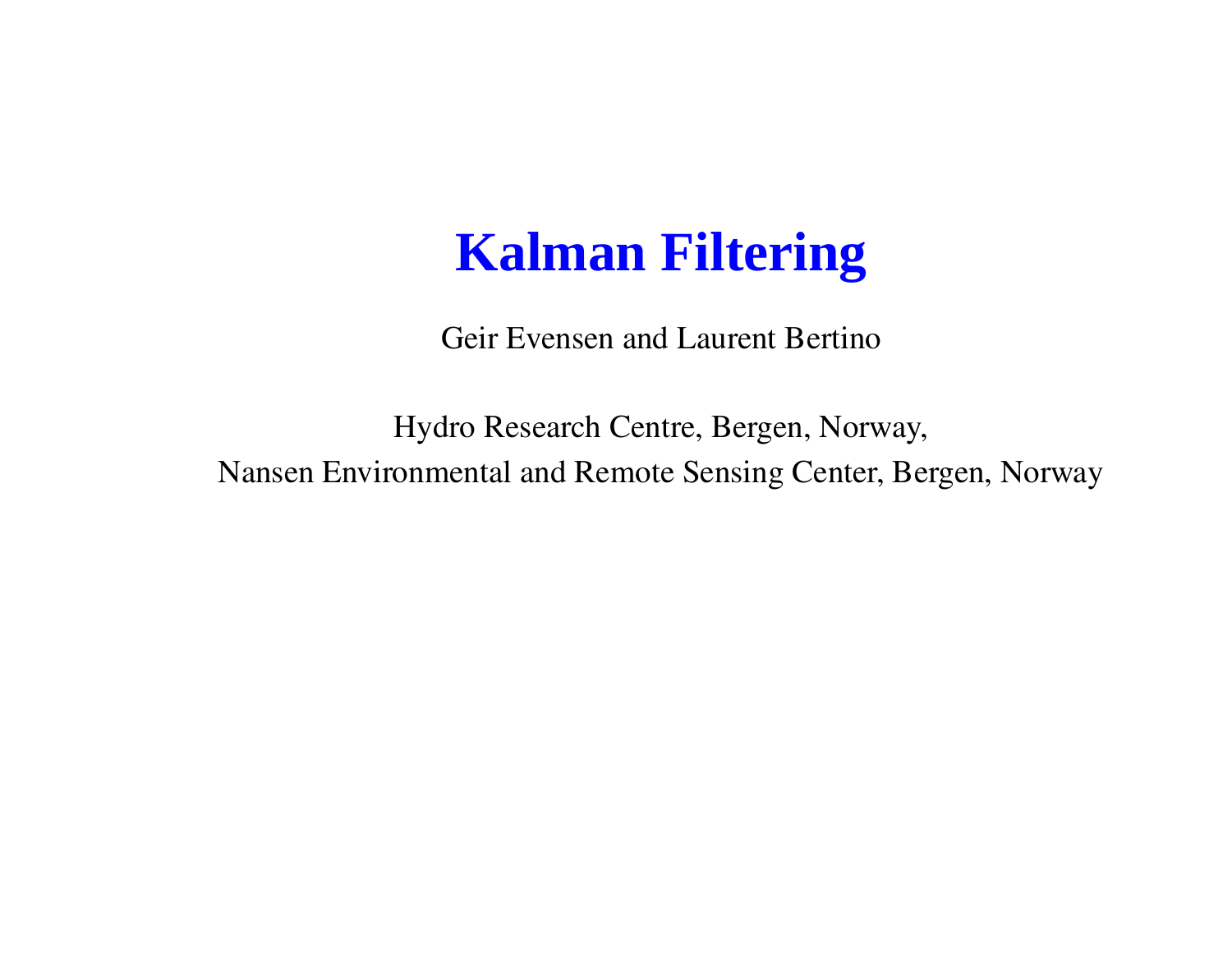#### **Kalman Filtering**

Geir Evensen and Laurent Bertino

Hydro Research Centre, Bergen, Norway, Nansen Environmental and Remote Sensing Center, Bergen, Norway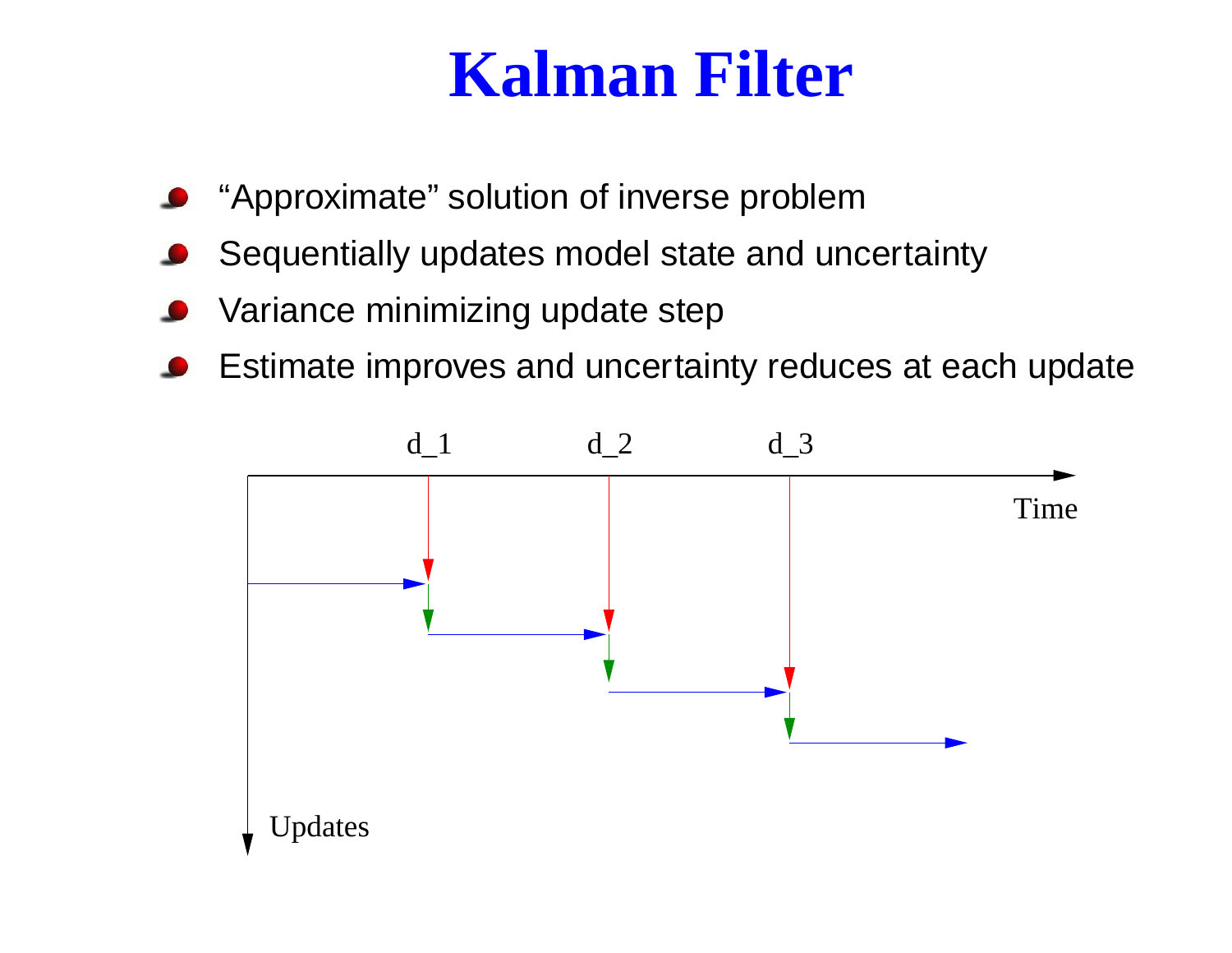## **Kalman Filter**

- "Approximate" solution of inverse problem
- Sequentially updates model state and uncertainty
- Variance minimizing update step
- Estimate improves and uncertainty reduces at each update

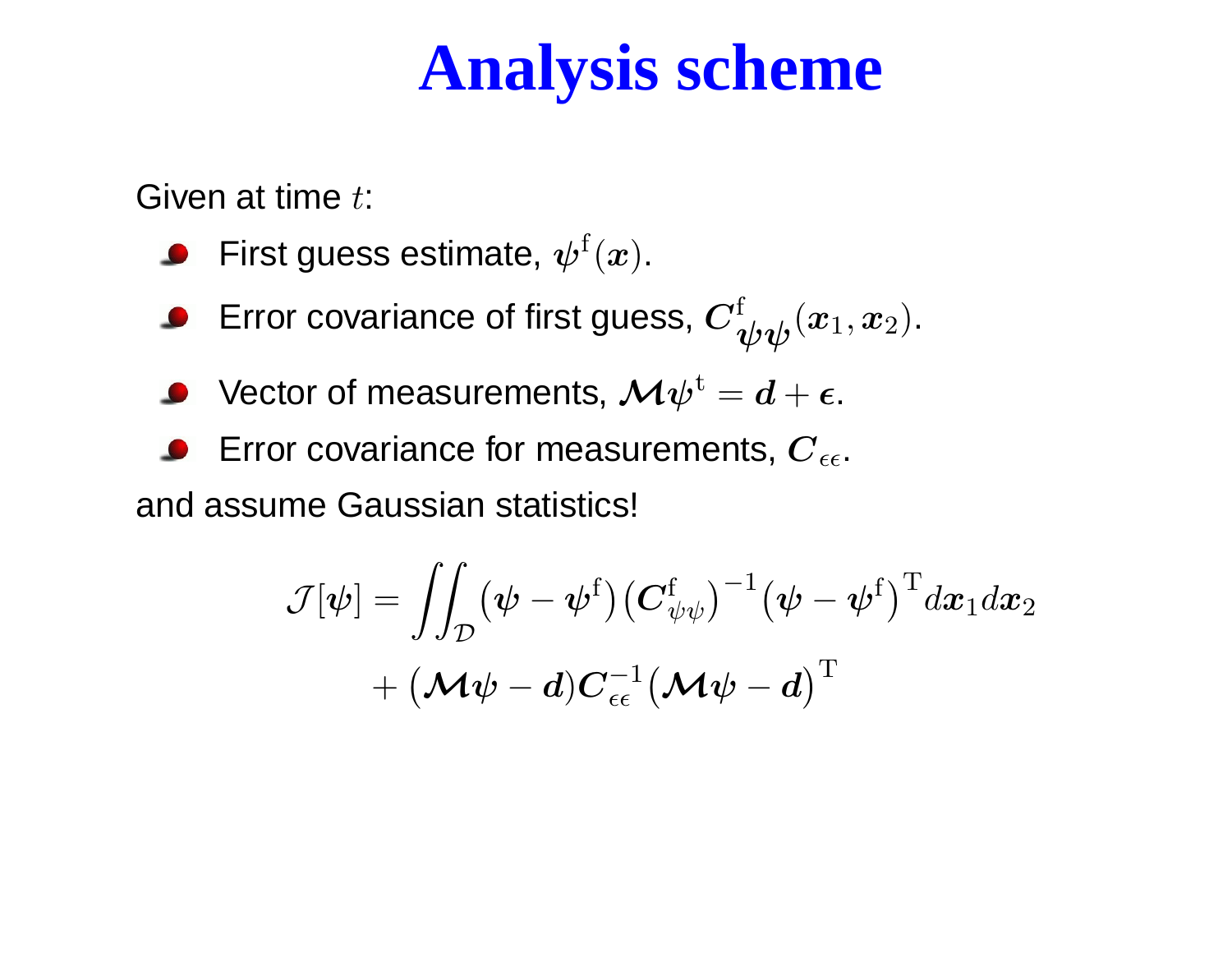## **Analysis scheme**

Given at time  $t\colon$ 

**First guess estimate,**  $\psi^f(x)$ **.** 

- Error covariance of first guess,  $\bm{C}^{\rm f}_{\bm{\psi}\bm{\psi}}(\bm{x}_1,\bm{x}_2)$ .
- Vector of measurements,  ${\boldsymbol{\mathcal{M}}\psi^\mathrm{t}}=d+\epsilon.$
- Error covariance for measurements,  $\boldsymbol{C}_{\epsilon\epsilon}.$

and assume Gaussian statistics!

$$
\mathcal{J}[\boldsymbol{\psi}]=\int\!\!\!\int_{\mathcal{D}} (\boldsymbol{\psi}-\boldsymbol{\psi}^{\rm f}) \big(\boldsymbol{C}_{\boldsymbol{\psi}\boldsymbol{\psi}}^{\rm f}\big)^{-1} \big(\boldsymbol{\psi}-\boldsymbol{\psi}^{\rm f}\big)^{\rm T} d\boldsymbol{x}_1 d\boldsymbol{x}_2 \\ + \big(\boldsymbol{\mathcal{M}}\boldsymbol{\psi}-\boldsymbol{d}) \boldsymbol{C}_{\epsilon\epsilon}^{-1} \big(\boldsymbol{\mathcal{M}}\boldsymbol{\psi}-\boldsymbol{d}\big)^{\rm T}
$$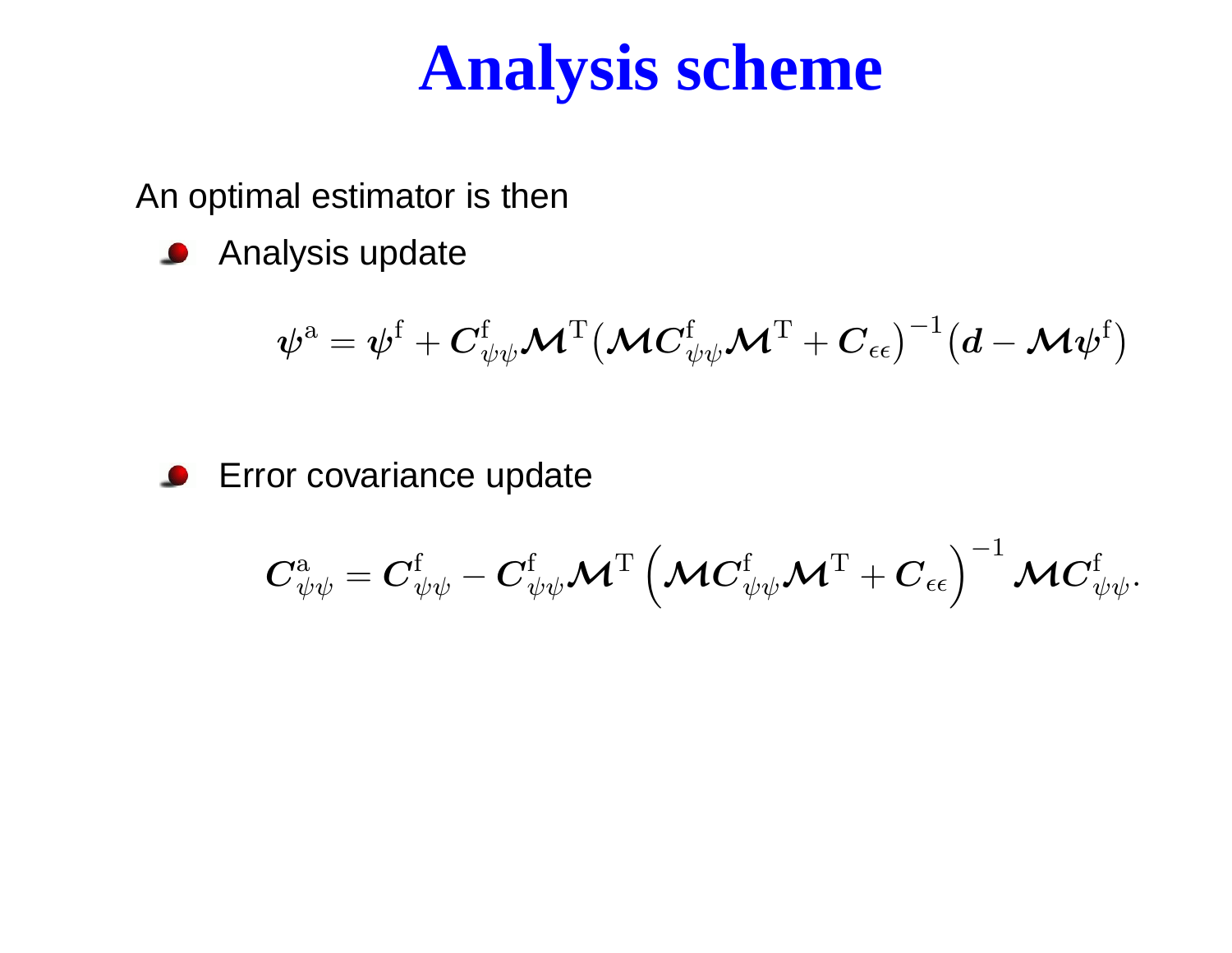## **Analysis scheme**

An optimal estimator is then

**Analysis update** 

$$
\boldsymbol{\psi}^\mathrm{a}=\boldsymbol{\psi}^\mathrm{f}+\boldsymbol{C}_{\psi\psi}^\mathrm{f}\boldsymbol{\mathcal{M}}^\mathrm{T}\big(\boldsymbol{\mathcal{M}}\boldsymbol{C}_{\psi\psi}^\mathrm{f}\boldsymbol{\mathcal{M}}^\mathrm{T}+\boldsymbol{C}_{\epsilon\epsilon}\big)^{-1}\big(\boldsymbol{d}-\boldsymbol{\mathcal{M}}\boldsymbol{\psi}^\mathrm{f}\big)
$$

#### Error covariance update

$$
\boldsymbol{C}_{\psi\psi}^{\mathrm{a}}=\boldsymbol{C}_{\psi\psi}^{\mathrm{f}}-\boldsymbol{C}_{\psi\psi}^{\mathrm{f}}\boldsymbol{\mathcal{M}}^{\mathrm{T}}\left(\boldsymbol{\mathcal{M}}\boldsymbol{C}_{\psi\psi}^{\mathrm{f}}\boldsymbol{\mathcal{M}}^{\mathrm{T}}+\boldsymbol{C}_{\epsilon\epsilon}\right)^{-1}\boldsymbol{\mathcal{M}}\boldsymbol{C}_{\psi\psi}^{\mathrm{f}}.
$$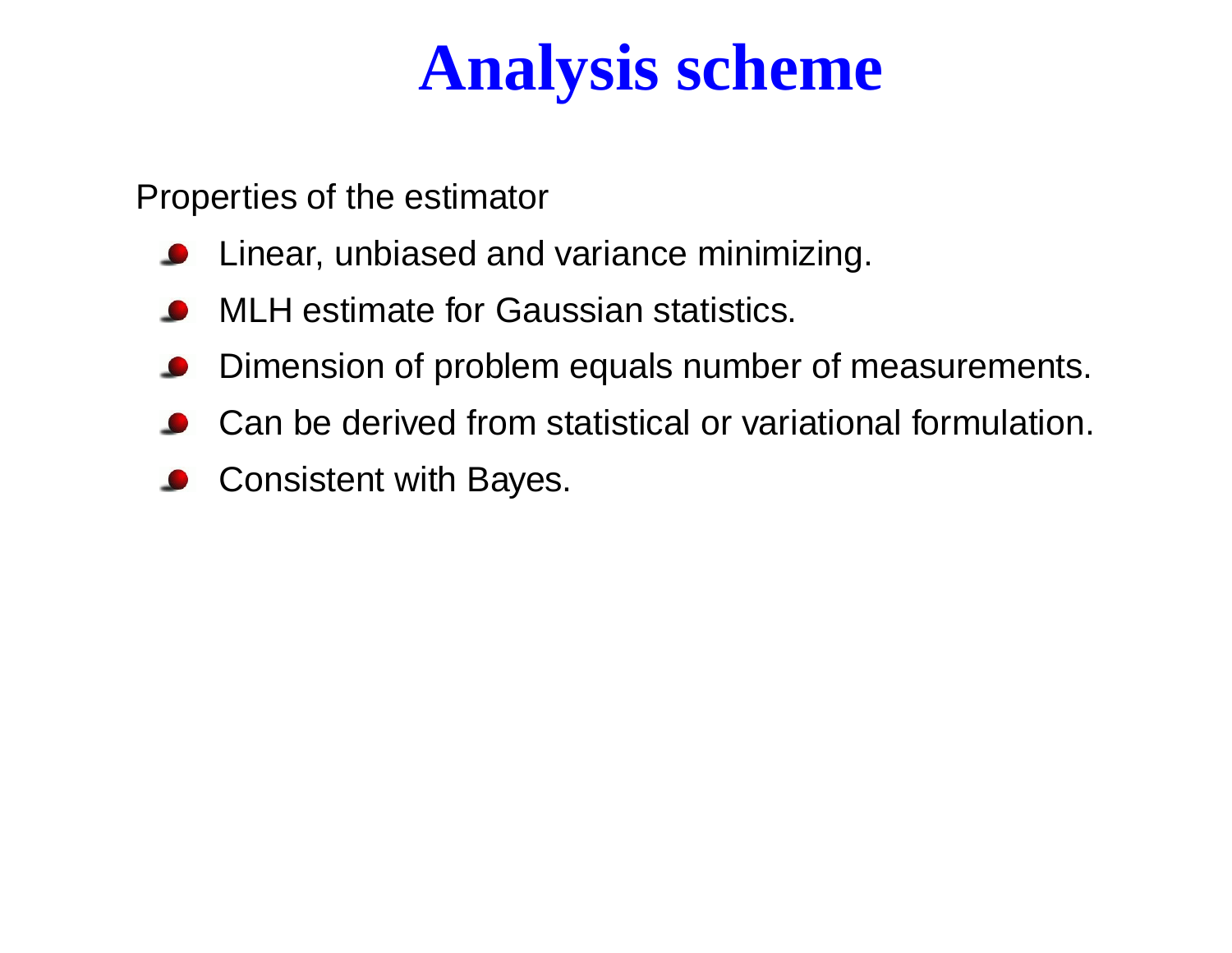## **Analysis scheme**

Properties of the estimator

- **O** Linear, unbiased and variance minimizing.
- MLH estimate for Gaussian statistics.
- Dimension of problem equals number of measurements.
- Can be derived from statistical or variational formulation.
- Consistent with Bayes.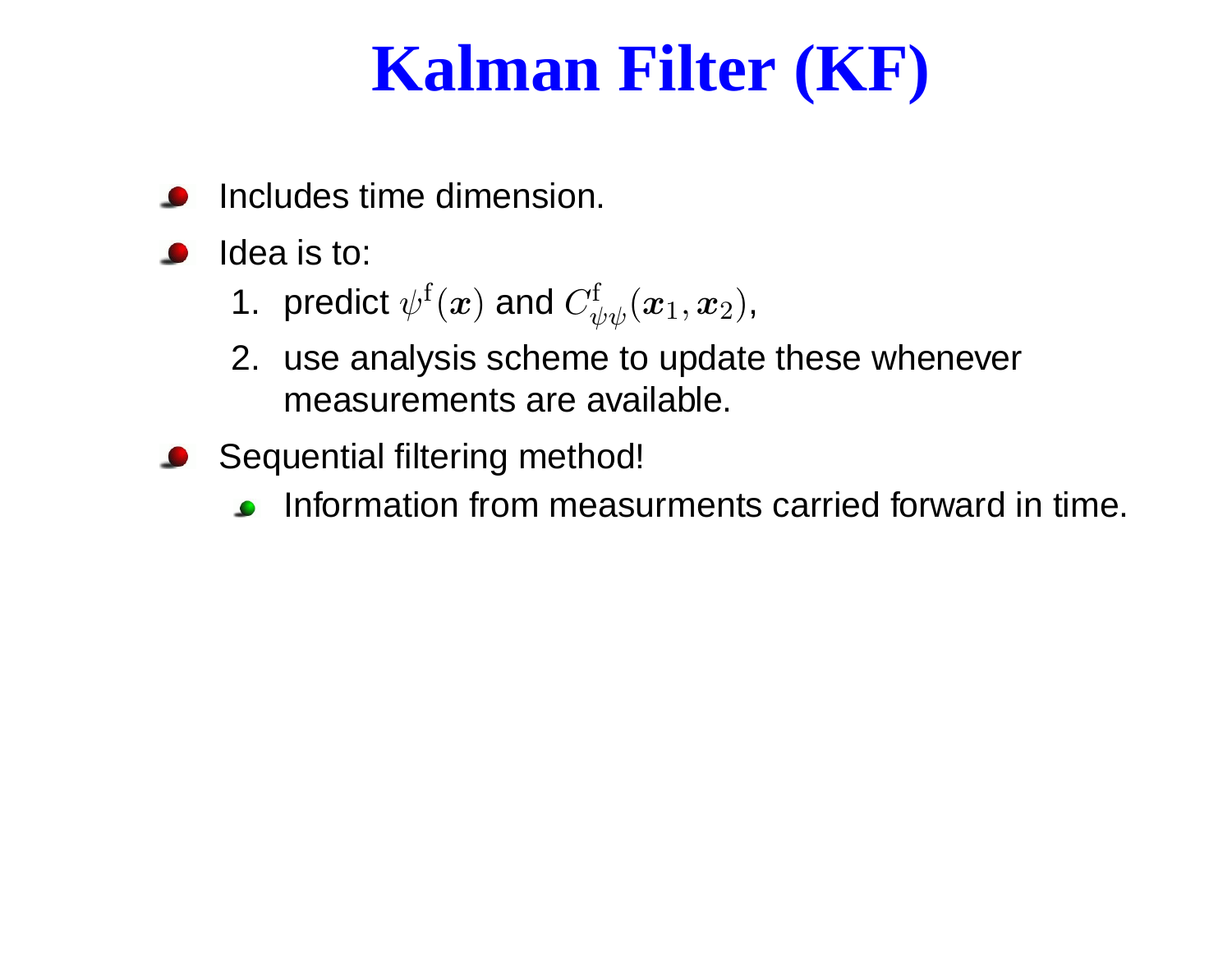# **Kalman Filter (KF)**

- Includes time dimension.
- Idea is to:
	- 1. predict  $\psi^{\text{f}}(\bm{x})$  and  $C_{\psi\psi}^{\text{f}}(\bm{x}_{1},\bm{x}_{2}),$
	- 2. use analysis scheme to update these whenever measurements are available.
- **Sequential filtering method!** 
	- Information from measurments carried forward in time.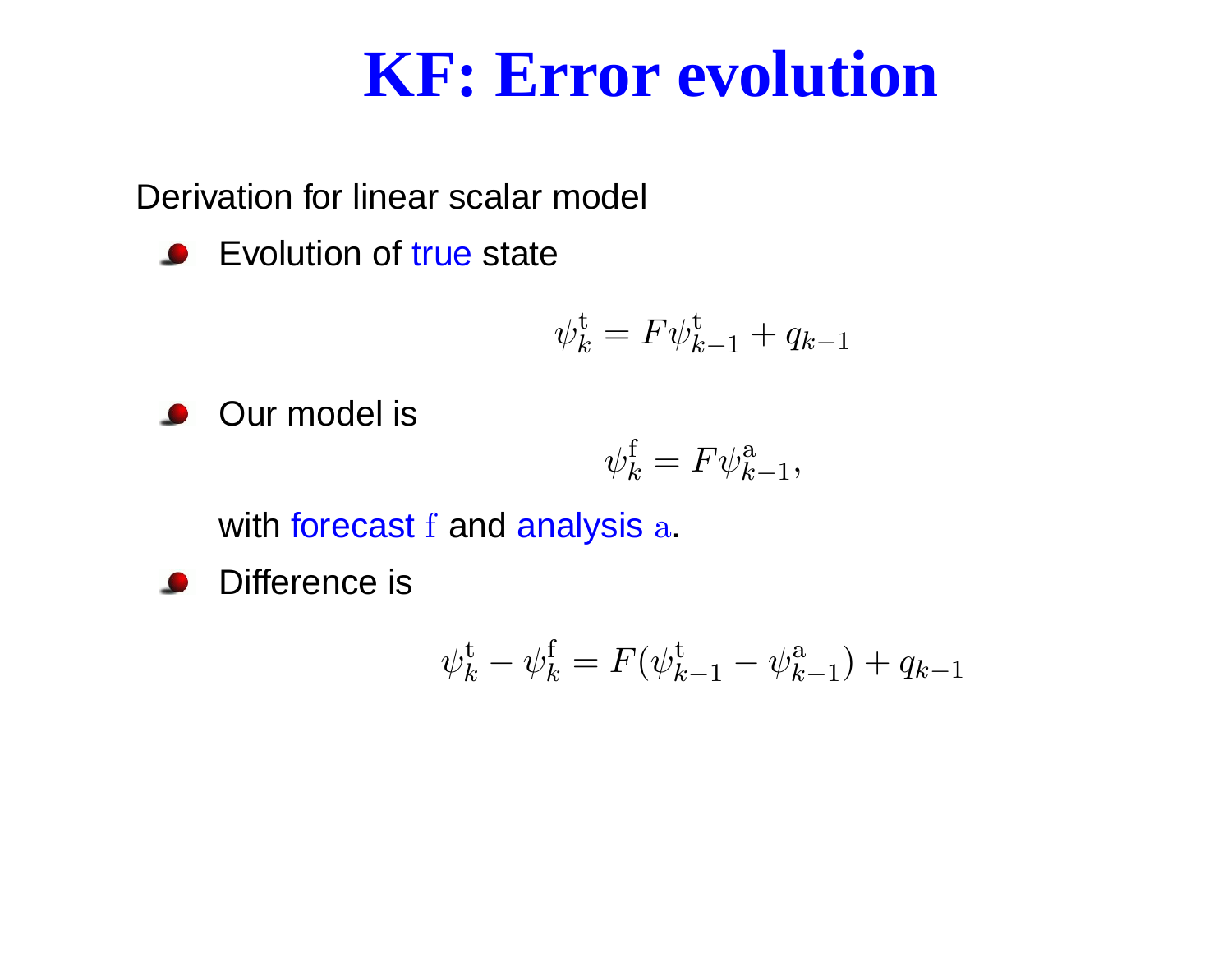#### **KF: Error evolution**

Derivation for linear scalar model

Evolution of true state

$$
\psi_k^{\mathbf{t}} = F \psi_{k-1}^{\mathbf{t}} + q_{k-1}
$$

**Our model is** 

$$
\psi_k^{\text{f}} = F \psi_{k-1}^{\text{a}},
$$

with forecast f and analysis  ${\rm a}$ .

Difference is

$$
\psi_k^{\text{t}} - \psi_k^{\text{f}} = F(\psi_{k-1}^{\text{t}} - \psi_{k-1}^{\text{a}}) + q_{k-1}
$$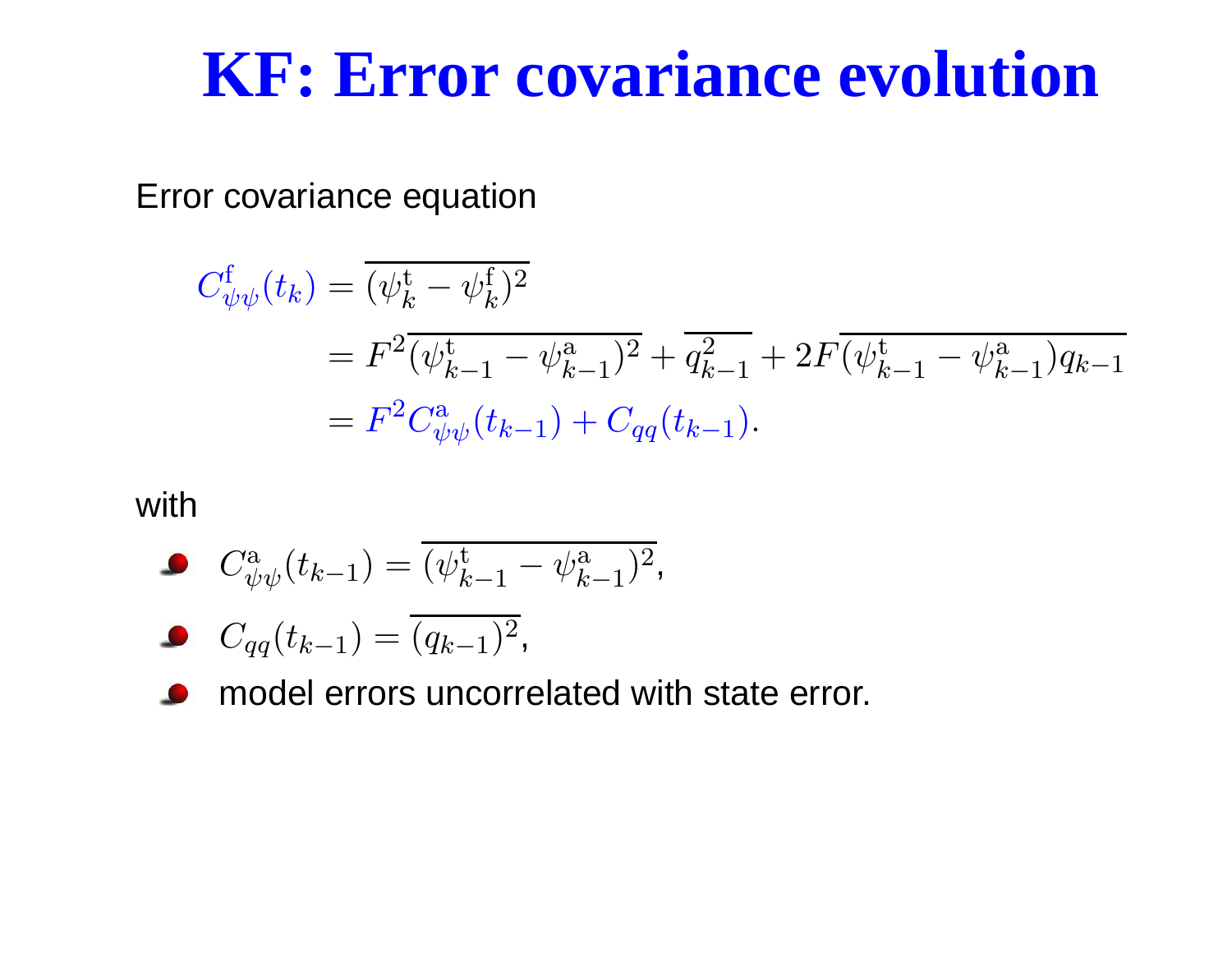#### **KF: Error covariance evolution**

Error covariance equation

$$
C_{\psi\psi}^{\mathbf{f}}(t_k) = \overline{(\psi_k^{\mathbf{t}} - \psi_k^{\mathbf{f}})^2}
$$
  
=  $F^2 \overline{(\psi_{k-1}^{\mathbf{t}} - \psi_{k-1}^{\mathbf{a}})^2} + \overline{q_{k-1}^2} + 2F \overline{(\psi_{k-1}^{\mathbf{t}} - \psi_{k-1}^{\mathbf{a}})q_{k-1}}$   
=  $F^2 C_{\psi\psi}^{\mathbf{a}}(t_{k-1}) + C_{qq}(t_{k-1}).$ 

#### with

$$
C_{\psi\psi}^{\mathbf{a}}(t_{k-1}) = \overline{(\psi_{k-1}^{\mathbf{t}} - \psi_{k-1}^{\mathbf{a}})^2},
$$

$$
C_{qq}(t_{k-1}) = \overline{(q_{k-1})^2},
$$

model errors uncorrelated with state error.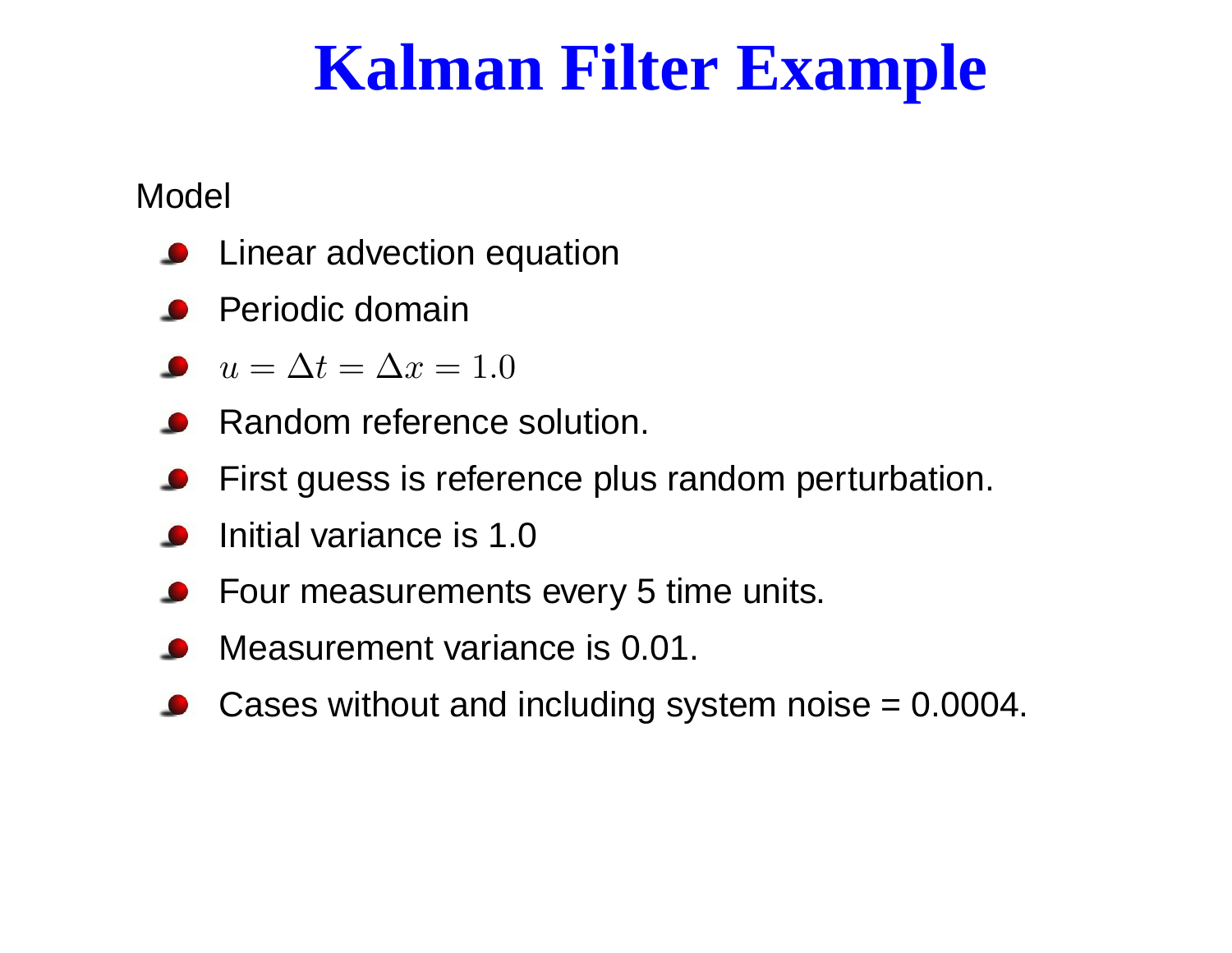## **Kalman Filter Example**

#### Model

- Linear advection equation
- Periodic domain
- $u=\Delta t=\Delta x=1.0$
- Random reference solution.
- First guess is reference plus random perturbation.
- Initial variance is 1.0
- Four measurements every 5 time units.
- Measurement variance is 0.01.
- Cases without and including system noise <sup>=</sup> 0.0004.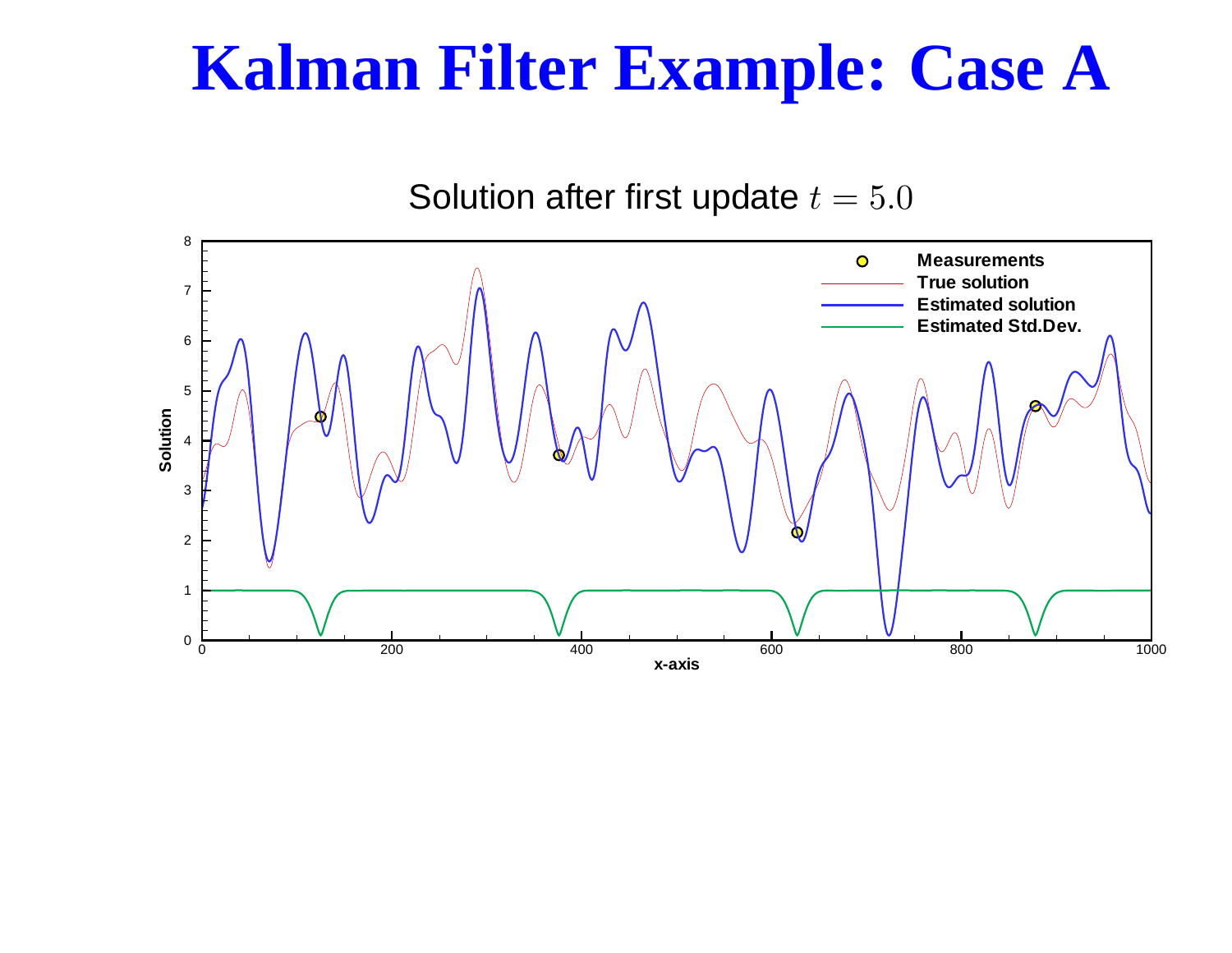#### **Kalman Filter Example: Case A**

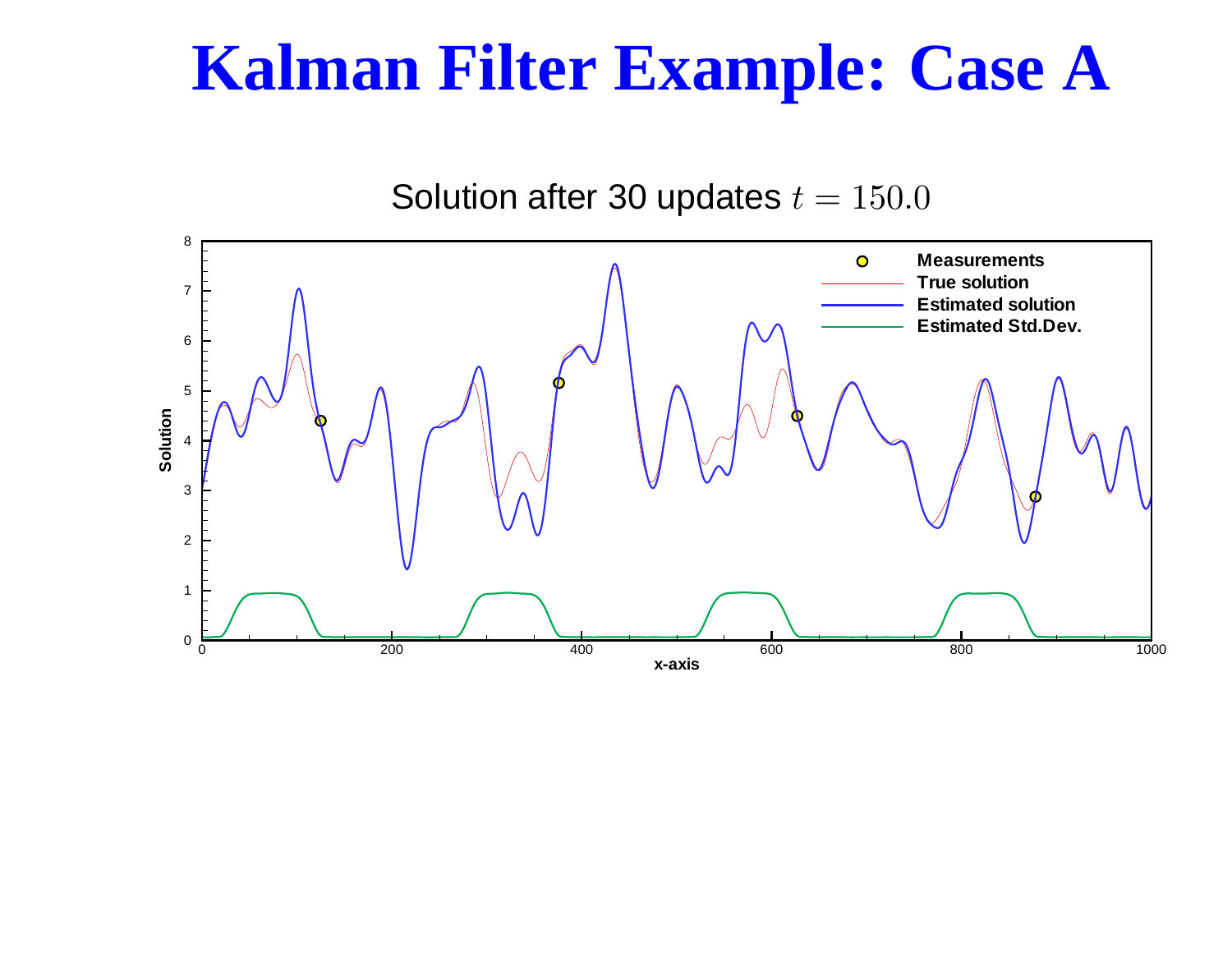#### **Kalman Filter Example: Case A**

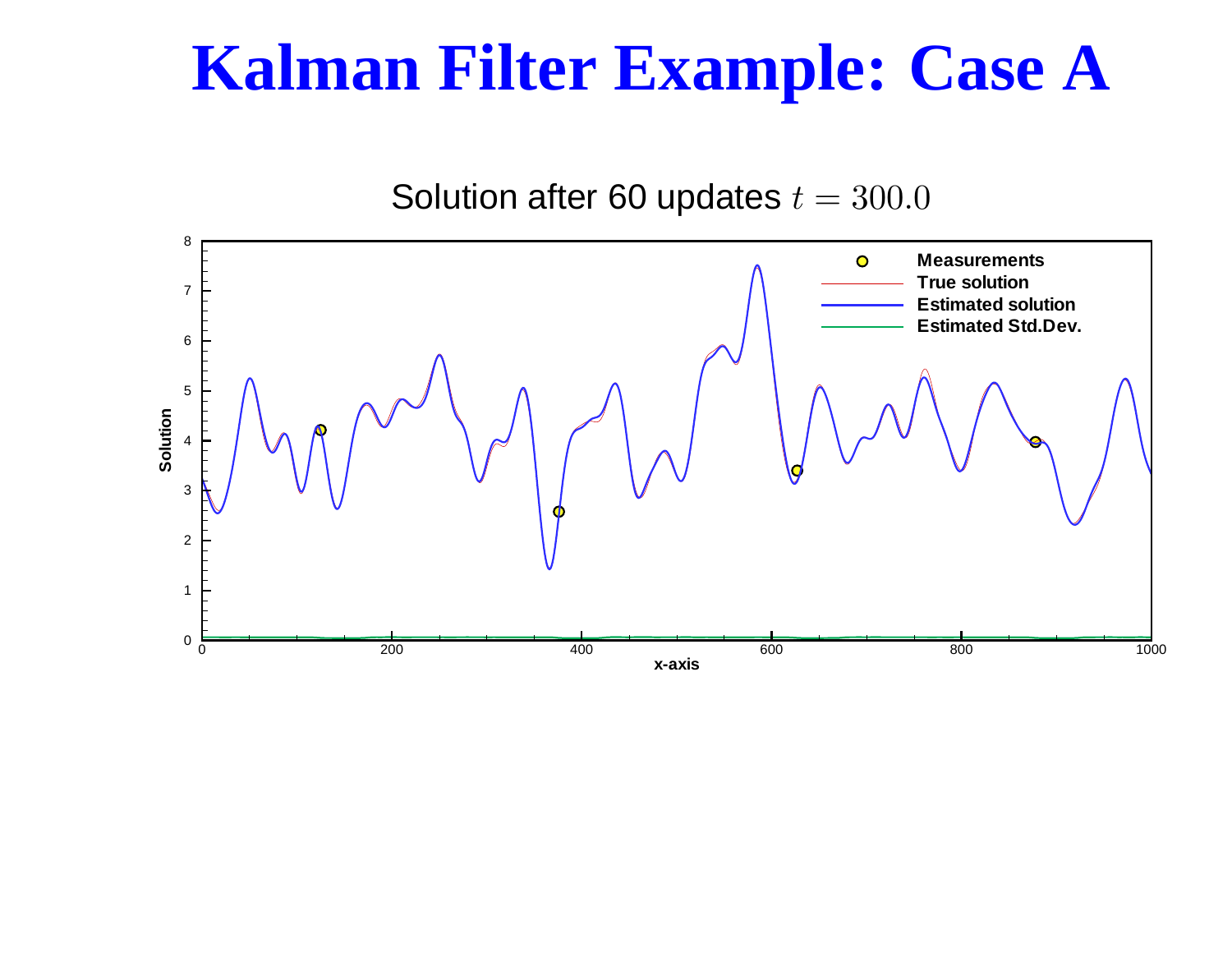#### **Kalman Filter Example: Case A**

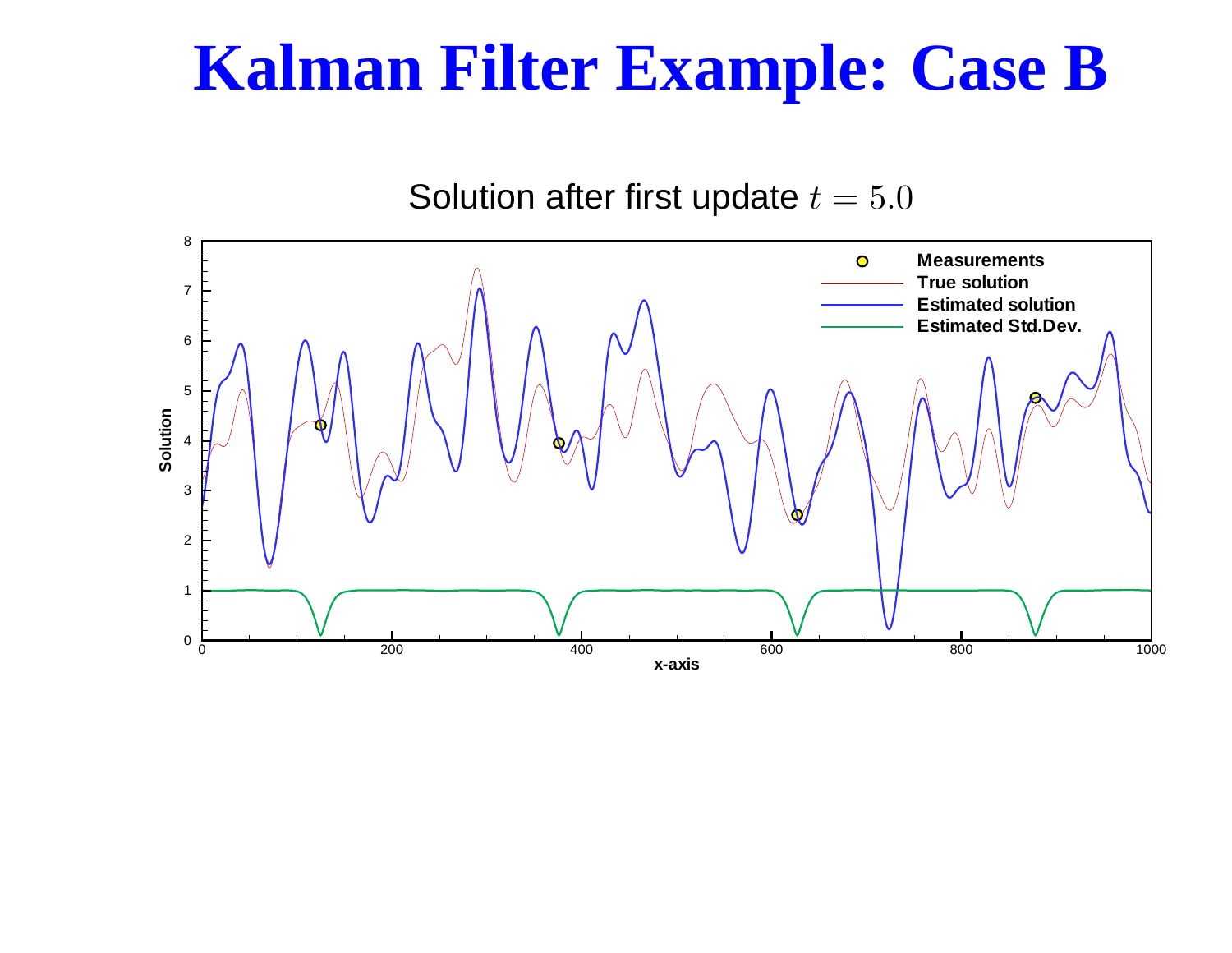#### **Kalman Filter Example: Case B**

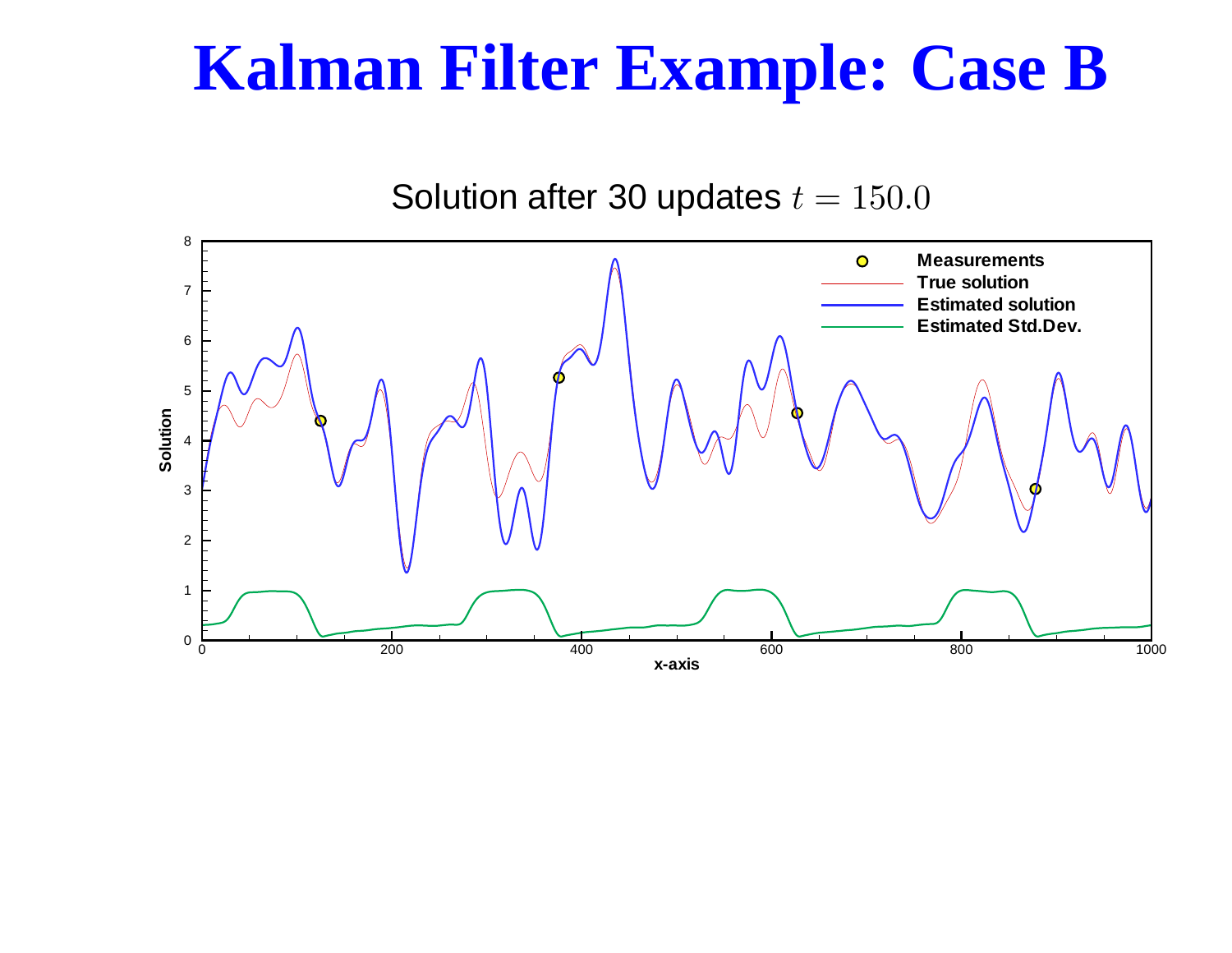#### **Kalman Filter Example: Case B**

![](_page_13_Figure_1.jpeg)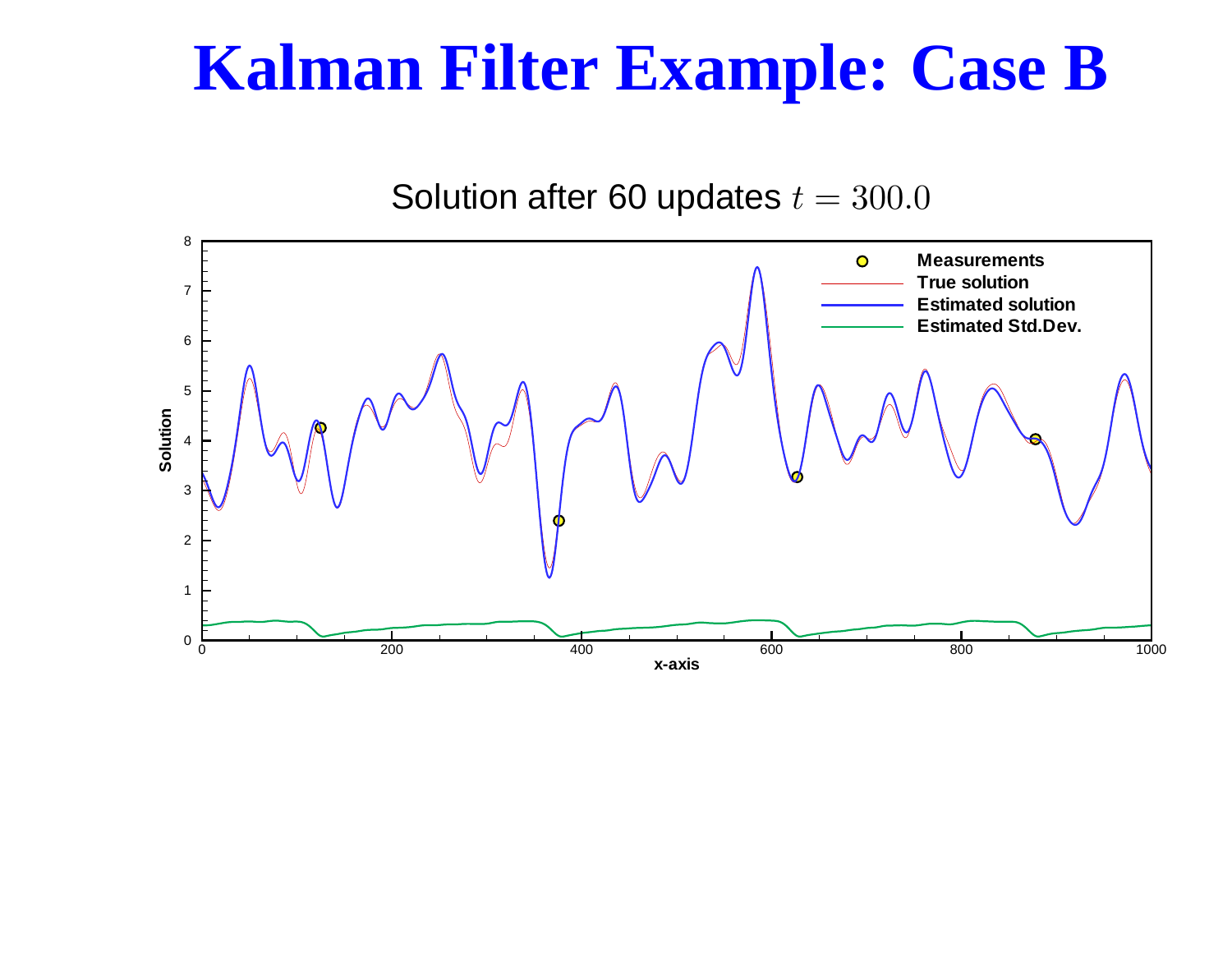#### **Kalman Filter Example: Case B**

![](_page_14_Figure_1.jpeg)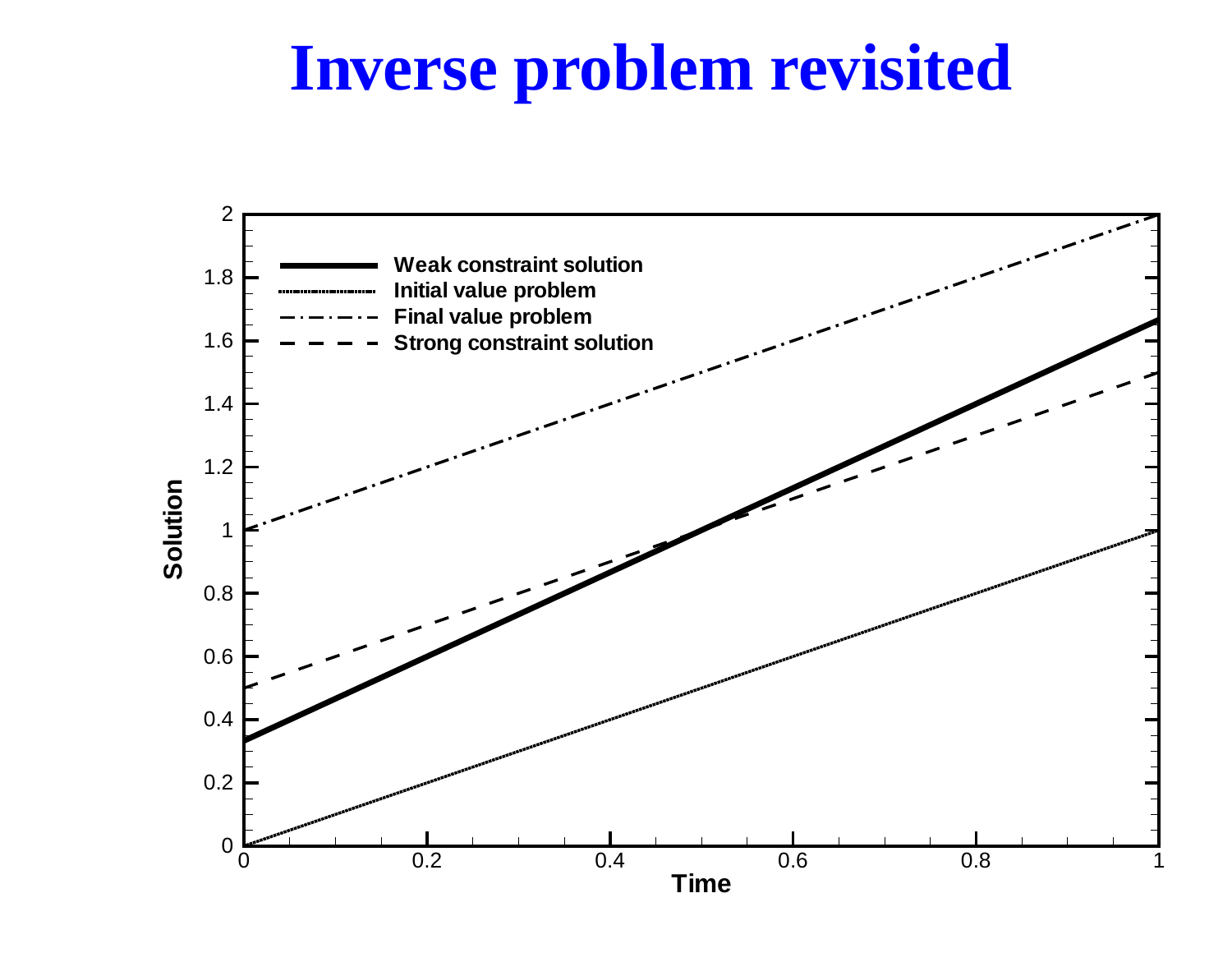## **Inverse problem revisited**

![](_page_15_Figure_1.jpeg)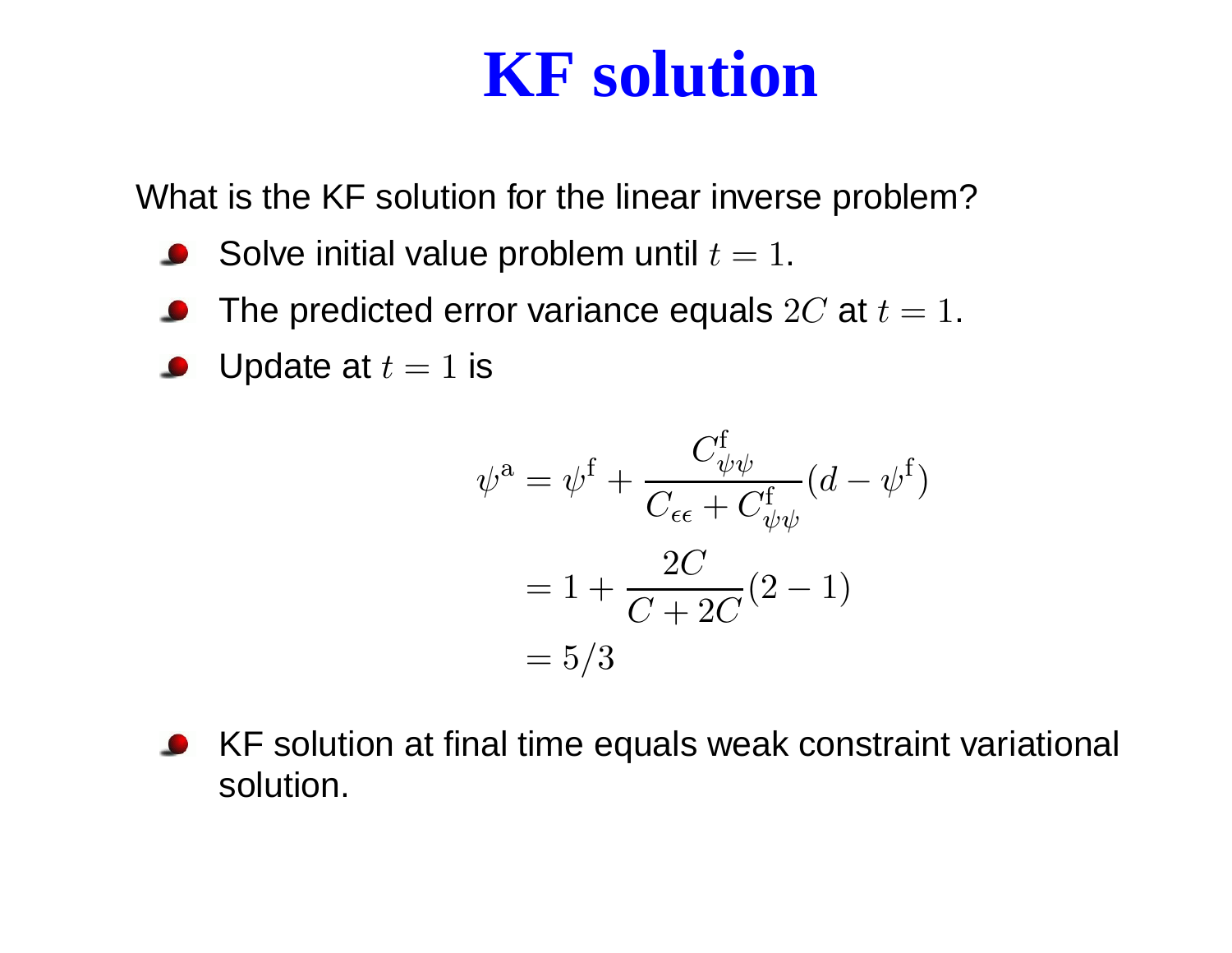## **KF solution**

What is the KF solution for the linear inverse problem?

- Solve initial value problem until  $t=1.$
- The predicted error variance equals  $2C$  at  $t=1.$
- Update at  $t = 1$  is

$$
\psi^a = \psi^f + \frac{C_{\psi\psi}^f}{C_{\epsilon\epsilon} + C_{\psi\psi}^f} (d - \psi^f)
$$

$$
= 1 + \frac{2C}{C + 2C} (2 - 1)
$$

$$
= 5/3
$$

KF solution at final time equals weak constraint variational solution.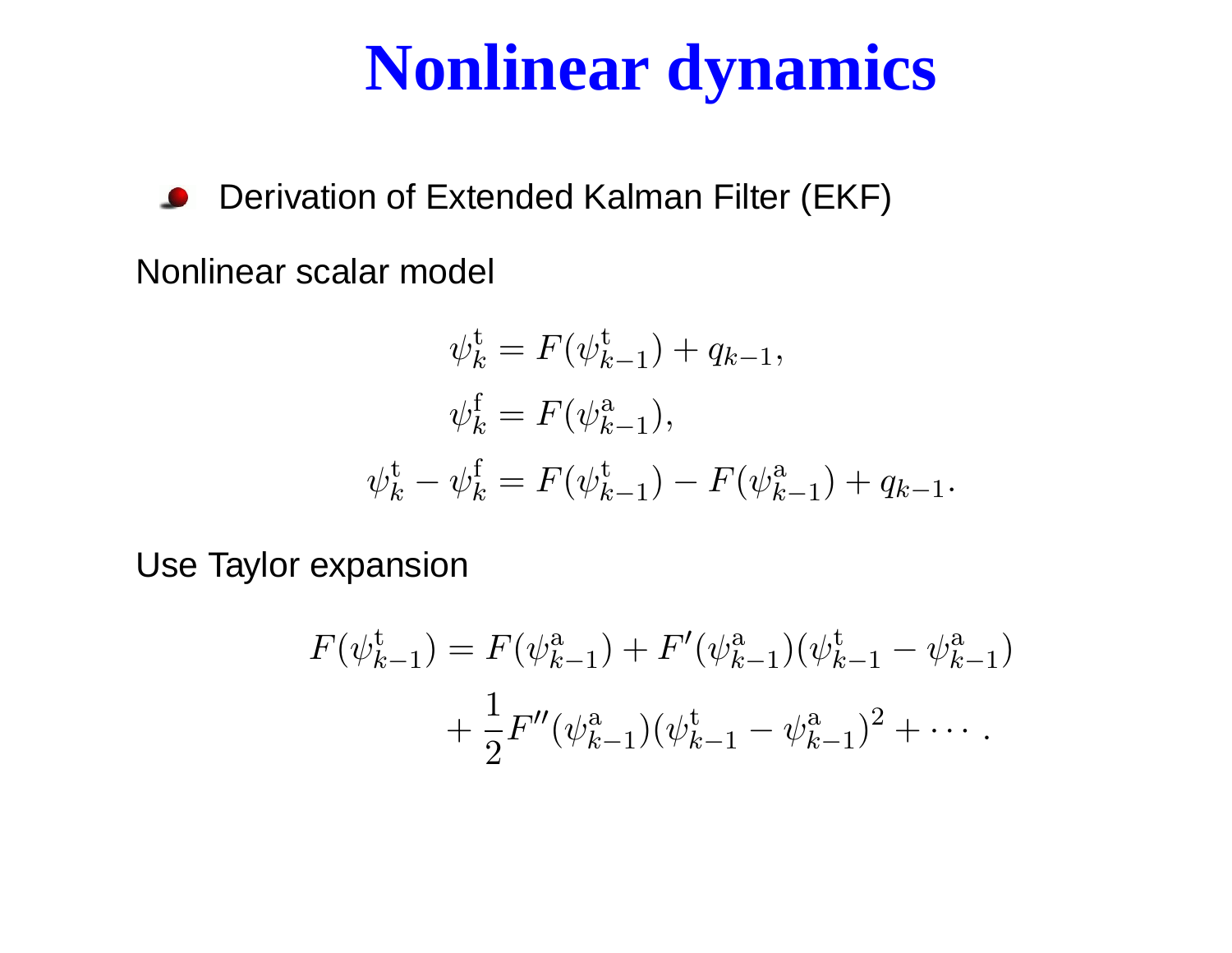## **Nonlinear dynamics**

Derivation of Extended Kalman Filter (EKF)

Nonlinear scalar model

$$
\psi_k^{\text{t}} = F(\psi_{k-1}^{\text{t}}) + q_{k-1},
$$
  

$$
\psi_k^{\text{f}} = F(\psi_{k-1}^{\text{a}}),
$$
  

$$
\psi_k^{\text{t}} - \psi_k^{\text{f}} = F(\psi_{k-1}^{\text{t}}) - F(\psi_{k-1}^{\text{a}}) + q_{k-1}.
$$

Use Taylor expansion

$$
F(\psi_{k-1}^{\dagger}) = F(\psi_{k-1}^{a}) + F'(\psi_{k-1}^{a}) (\psi_{k-1}^{\dagger} - \psi_{k-1}^{a})
$$
  
+ 
$$
\frac{1}{2} F''(\psi_{k-1}^{a}) (\psi_{k-1}^{\dagger} - \psi_{k-1}^{a})^{2} + \cdots
$$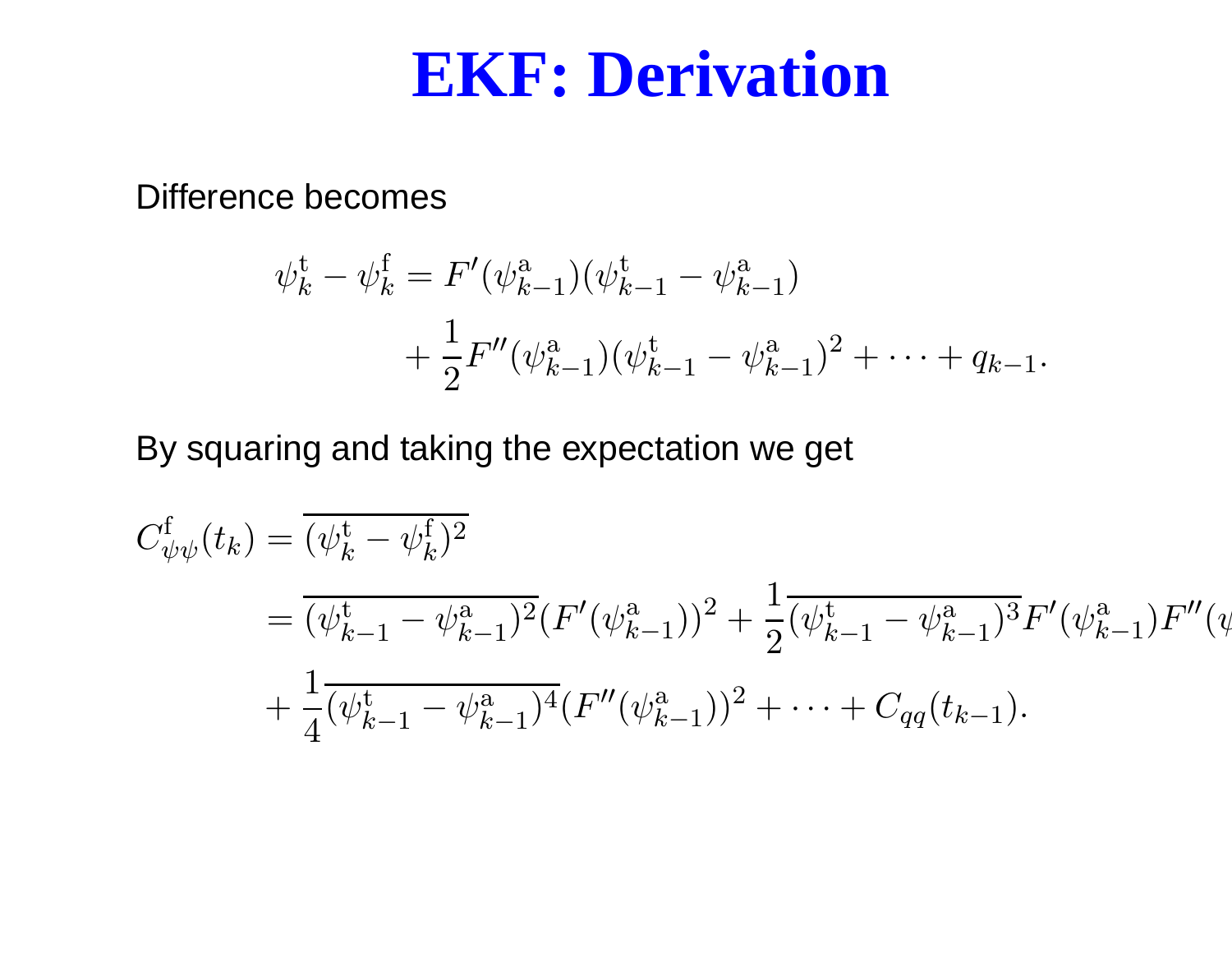#### **EKF: Derivation**

Difference becomes

$$
\psi_k^{\mathbf{t}} - \psi_k^{\mathbf{f}} = F'(\psi_{k-1}^{\mathbf{a}})(\psi_{k-1}^{\mathbf{t}} - \psi_{k-1}^{\mathbf{a}}) \n+ \frac{1}{2}F''(\psi_{k-1}^{\mathbf{a}})(\psi_{k-1}^{\mathbf{t}} - \psi_{k-1}^{\mathbf{a}})^2 + \dots + q_{k-1}.
$$

By squaring and taking the expectation we get

$$
C_{\psi\psi}^{\mathfrak{f}}(t_{k}) = \overline{(\psi_{k-1}^{\mathfrak{t}} - \psi_{k-1}^{\mathfrak{f}})^2}
$$
  
= 
$$
\overline{(\psi_{k-1}^{\mathfrak{t}} - \psi_{k-1}^{\mathfrak{a}})^2} (F'(\psi_{k-1}^{\mathfrak{a}}))^2 + \frac{1}{2} \overline{(\psi_{k-1}^{\mathfrak{t}} - \psi_{k-1}^{\mathfrak{a}})^3} F'(\psi_{k-1}^{\mathfrak{a}}) F''(\psi_{k-1}^{\mathfrak{a}}) + \frac{1}{4} \overline{(\psi_{k-1}^{\mathfrak{t}} - \psi_{k-1}^{\mathfrak{a}})^4} (F''(\psi_{k-1}^{\mathfrak{a}}))^2 + \dots + C_{qq}(t_{k-1}).
$$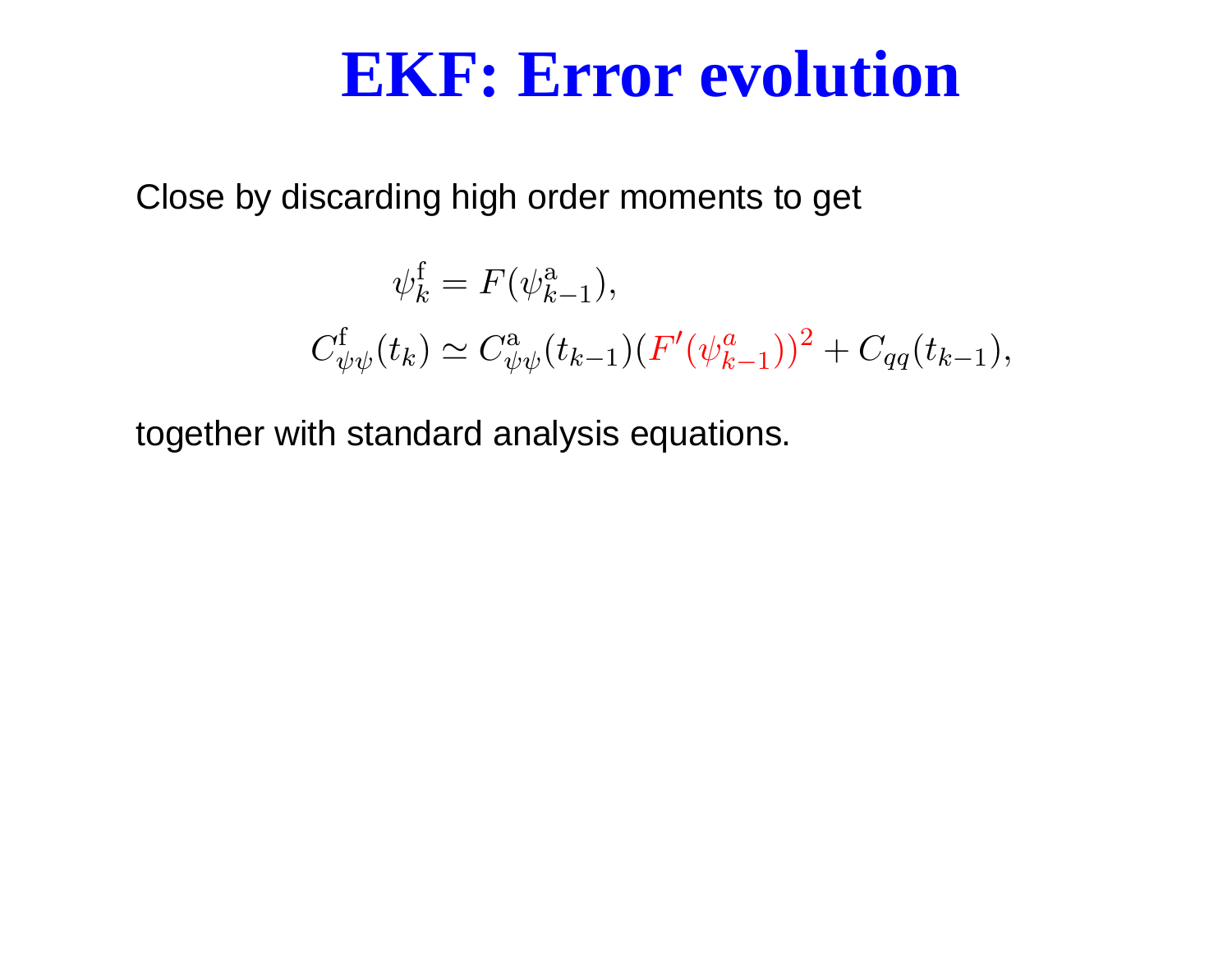#### **EKF: Error evolution**

Close by discarding high order moments to get

$$
\psi_k^{\text{f}} = F(\psi_{k-1}^{\text{a}}),
$$
  

$$
C_{\psi\psi}^{\text{f}}(t_k) \simeq C_{\psi\psi}^{\text{a}}(t_{k-1})(F'(\psi_{k-1}^a))^2 + C_{qq}(t_{k-1}),
$$

together with standard analysis equations.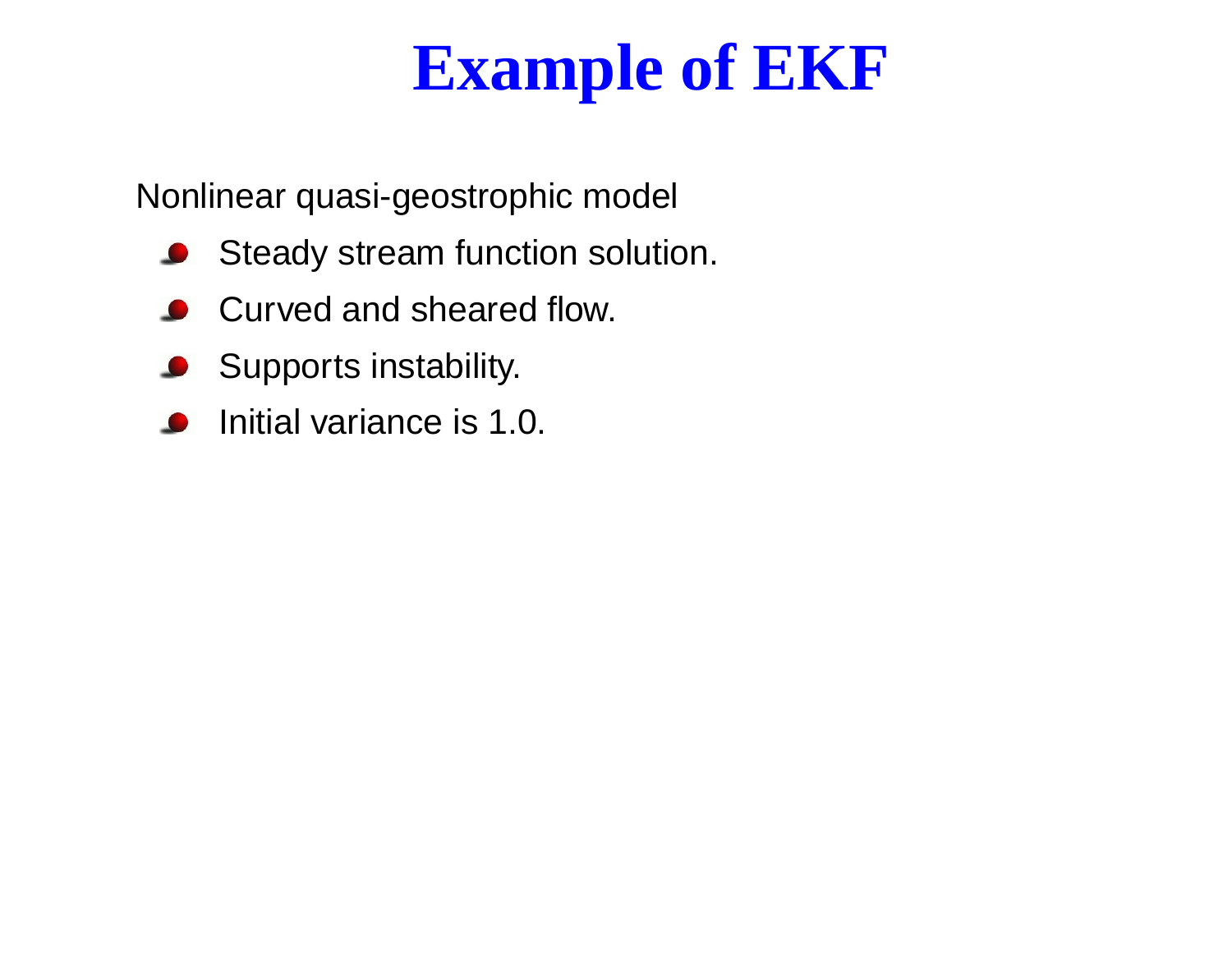# **Example of EKF**

Nonlinear quasi-geostrophic model

- **Steady stream function solution.**
- Curved and sheared flow.
- **Supports instability.**
- Initial variance is 1.0.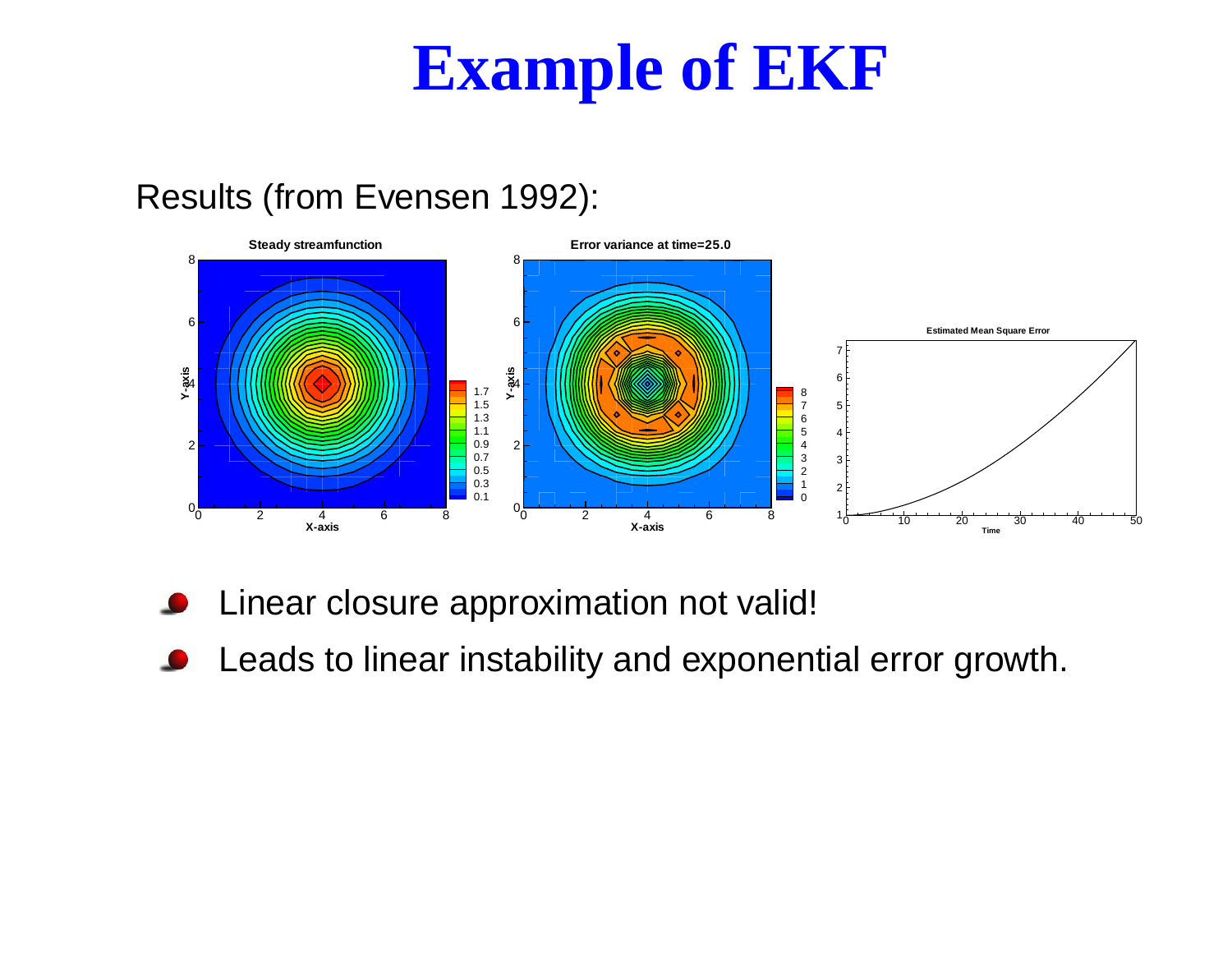## **Example of EKF**

#### Results (from Evensen 1992):

![](_page_21_Figure_2.jpeg)

- Linear closure approximation not valid!
- Leads to linear instability and exponential error growth.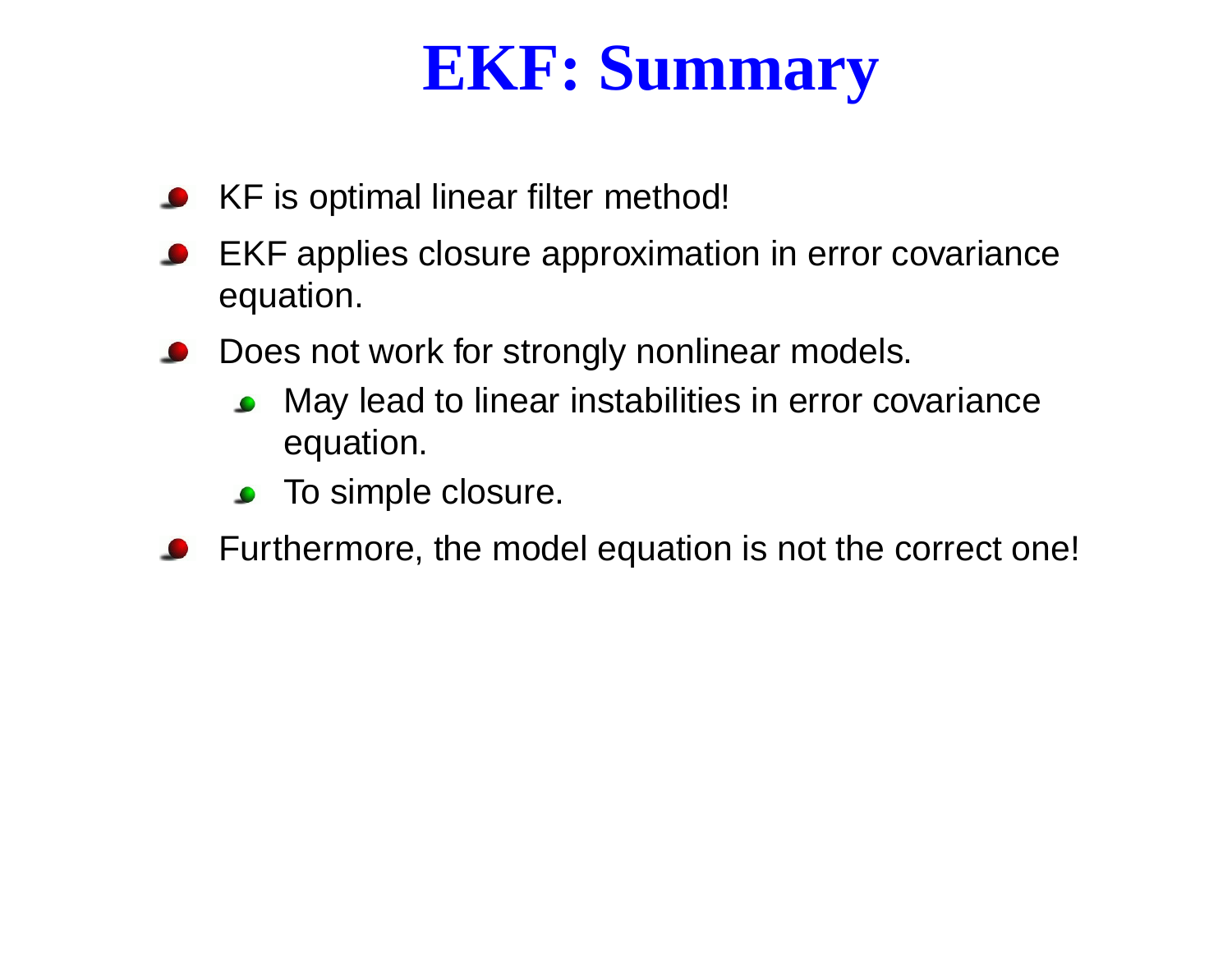# **EKF: Summary**

- KF is optimal linear filter method!
- EKF applies closure approximation in error covariance equation.
- Does not work for strongly nonlinear models.
	- May lead to linear instabilities in error covariance  $\bullet$ equation.
	- To simple closure.
- Furthermore, the model equation is not the correct one!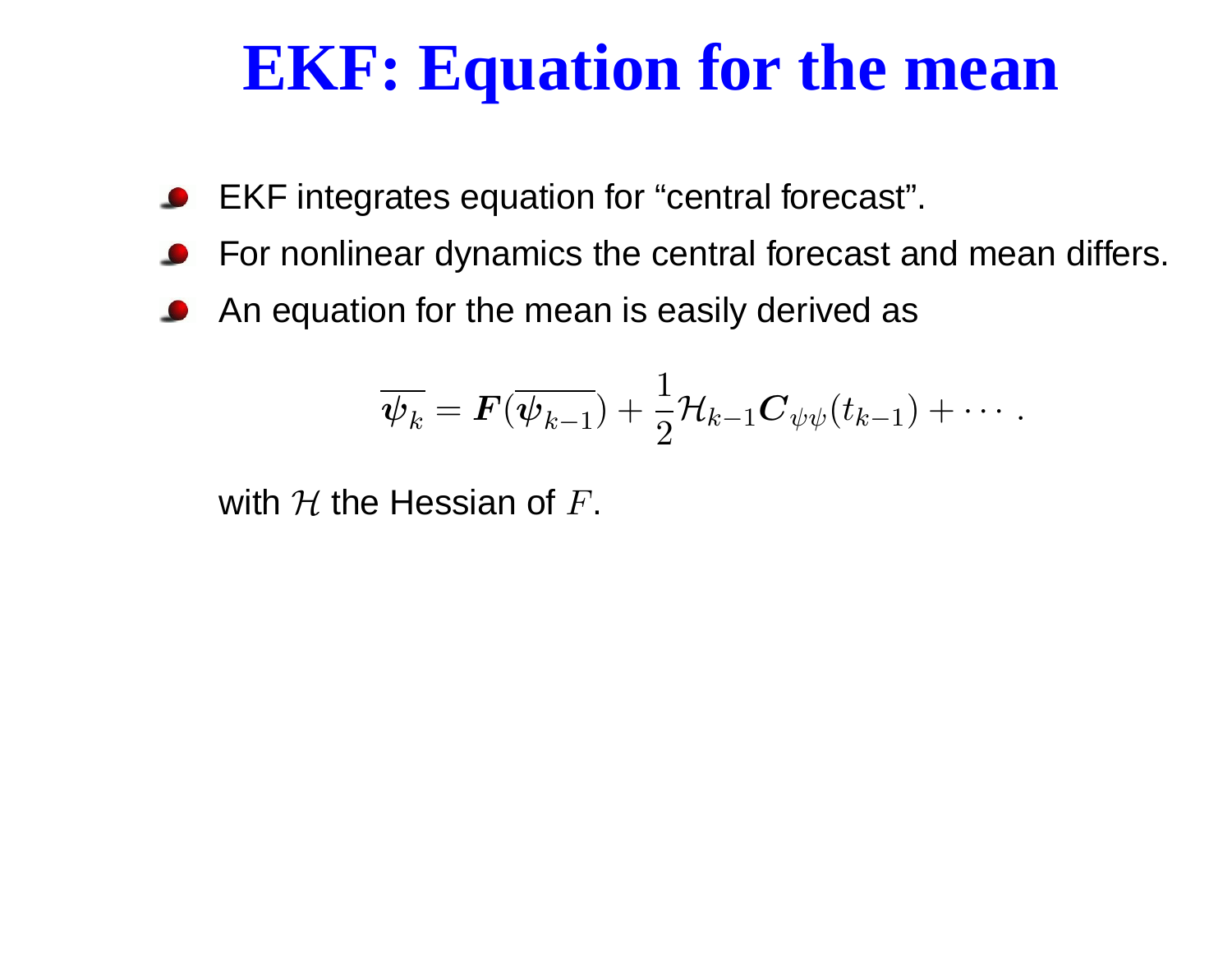## **EKF: Equation for the mean**

- EKF integrates equation for "central forecast".
- For nonlinear dynamics the central forecast and mean differs.
- An equation for the mean is easily derived as

$$
\overline{\boldsymbol{\psi}_k} = \boldsymbol{F}(\overline{\boldsymbol{\psi}_{k-1}}) + \frac{1}{2} \mathcal{H}_{k-1} \boldsymbol{C}_{\psi\psi}(t_{k-1}) + \cdots.
$$

with  ${\cal H}$  the Hessian of  $F.$